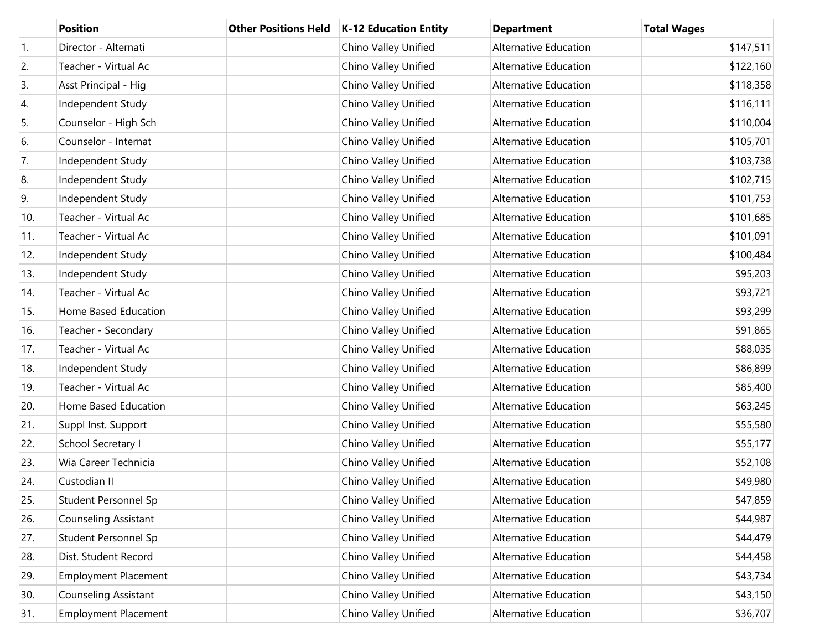|                  | <b>Position</b>             | <b>Other Positions Held</b> | K-12 Education Entity | <b>Department</b>            | <b>Total Wages</b> |
|------------------|-----------------------------|-----------------------------|-----------------------|------------------------------|--------------------|
| $\overline{1}$ . | Director - Alternati        |                             | Chino Valley Unified  | <b>Alternative Education</b> | \$147,511          |
| 2.               | Teacher - Virtual Ac        |                             | Chino Valley Unified  | Alternative Education        | \$122,160          |
| 3.               | Asst Principal - Hig        |                             | Chino Valley Unified  | Alternative Education        | \$118,358          |
| 4.               | Independent Study           |                             | Chino Valley Unified  | <b>Alternative Education</b> | \$116,111          |
| 5.               | Counselor - High Sch        |                             | Chino Valley Unified  | Alternative Education        | \$110,004          |
| 6.               | Counselor - Internat        |                             | Chino Valley Unified  | <b>Alternative Education</b> | \$105,701          |
| 7.               | Independent Study           |                             | Chino Valley Unified  | Alternative Education        | \$103,738          |
| 8.               | Independent Study           |                             | Chino Valley Unified  | Alternative Education        | \$102,715          |
| 9.               | Independent Study           |                             | Chino Valley Unified  | <b>Alternative Education</b> | \$101,753          |
| 10.              | Teacher - Virtual Ac        |                             | Chino Valley Unified  | Alternative Education        | \$101,685          |
| 11.              | Teacher - Virtual Ac        |                             | Chino Valley Unified  | <b>Alternative Education</b> | \$101,091          |
| 12.              | Independent Study           |                             | Chino Valley Unified  | Alternative Education        | \$100,484          |
| 13.              | Independent Study           |                             | Chino Valley Unified  | Alternative Education        | \$95,203           |
| 14.              | Teacher - Virtual Ac        |                             | Chino Valley Unified  | Alternative Education        | \$93,721           |
| 15.              | Home Based Education        |                             | Chino Valley Unified  | <b>Alternative Education</b> | \$93,299           |
| 16.              | Teacher - Secondary         |                             | Chino Valley Unified  | Alternative Education        | \$91,865           |
| 17.              | Teacher - Virtual Ac        |                             | Chino Valley Unified  | <b>Alternative Education</b> | \$88,035           |
| 18.              | Independent Study           |                             | Chino Valley Unified  | Alternative Education        | \$86,899           |
| 19.              | Teacher - Virtual Ac        |                             | Chino Valley Unified  | Alternative Education        | \$85,400           |
| 20.              | Home Based Education        |                             | Chino Valley Unified  | Alternative Education        | \$63,245           |
| 21.              | Suppl Inst. Support         |                             | Chino Valley Unified  | <b>Alternative Education</b> | \$55,580           |
| 22.              | School Secretary I          |                             | Chino Valley Unified  | Alternative Education        | \$55,177           |
| 23.              | Wia Career Technicia        |                             | Chino Valley Unified  | Alternative Education        | \$52,108           |
| 24.              | Custodian II                |                             | Chino Valley Unified  | Alternative Education        | \$49,980           |
| 25.              | Student Personnel Sp        |                             | Chino Valley Unified  | Alternative Education        | \$47,859           |
| 26.              | Counseling Assistant        |                             | Chino Valley Unified  | Alternative Education        | \$44,987           |
| 27.              | Student Personnel Sp        |                             | Chino Valley Unified  | Alternative Education        | \$44,479           |
| 28.              | Dist. Student Record        |                             | Chino Valley Unified  | Alternative Education        | \$44,458           |
| 29.              | <b>Employment Placement</b> |                             | Chino Valley Unified  | Alternative Education        | \$43,734           |
| 30.              | Counseling Assistant        |                             | Chino Valley Unified  | Alternative Education        | \$43,150           |
| 31.              | <b>Employment Placement</b> |                             | Chino Valley Unified  | Alternative Education        | \$36,707           |